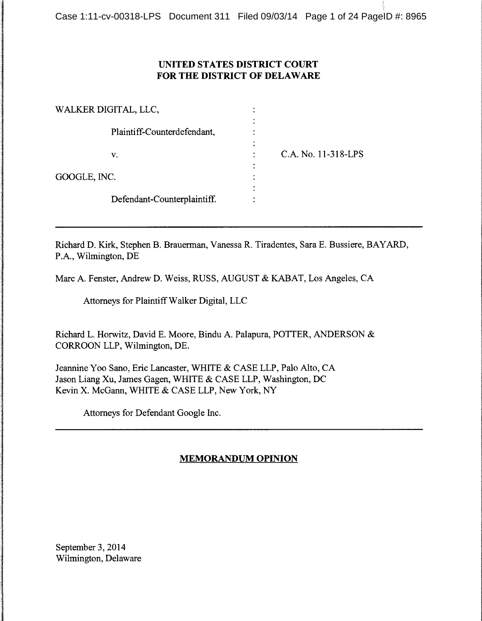# **UNITED STATES DISTRICT COURT FOR THE DISTRICT OF DELAWARE**

| WALKER DIGITAL, LLC, |                             |                     |
|----------------------|-----------------------------|---------------------|
|                      | Plaintiff-Counterdefendant, |                     |
|                      | v.                          | C.A. No. 11-318-LPS |
| GOOGLE, INC.         |                             |                     |
|                      | Defendant-Counterplaintiff. |                     |

Richard D. Kirk, Stephen B. Brauerman, Vanessa R. Tiradentes, Sara E. Bussiere, BAY ARD, P.A., Wilmington, DE

Marc A. Fenster, Andrew D. Weiss, RUSS, AUGUST & KABAT, Los Angeles, CA

Attorneys for Plaintiff Walker Digital, LLC

Richard L. Horwitz, David E. Moore, Bindu A. Palapura, POTTER, ANDERSON & CORROON LLP, Wilmington, DE.

Jeannine Yoo Sano, Eric Lancaster, WHITE & CASE LLP, Palo Alto, CA Jason Liang Xu, James Gagen, WHITE & CASE LLP, Washington, DC Kevin X. McGann, WHITE & CASE LLP, New York, NY

Attorneys for Defendant Google Inc.

# **MEMORANDUM OPINION**

September 3, 2014 Wilmington, Delaware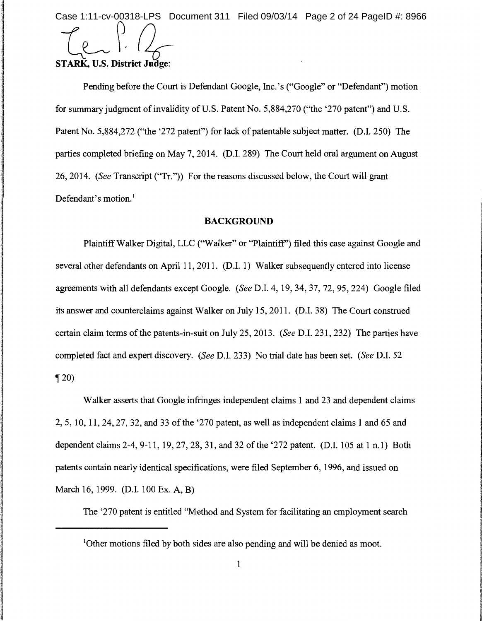Case 1:11-cv-00318-LPS Document 311 Filed 09/03/14 Page 2 of 24 PageID #: 8966

-c~ *?. Du-***STARK,** U.S. **District Judge:** 

Pending before the Court is Defendant Google, Inc.'s ("Google" or "Defendant") motion for summary judgment of invalidity of U.S. Patent No. 5,884,270 ("the '270 patent") and U.S. Patent No. 5,884,272 ("the '272 patent") for lack of patentable subject matter. (D.I. 250) The parties completed briefing on May 7, 2014. (D.I. 289) The Court held oral argument on August 26, 2014. *(See* Transcript ("Tr.")) For the reasons discussed below, the Court will grant Defendant's motion. $<sup>1</sup>$ </sup>

### **BACKGROUND**

Plaintiff Walker Digital, LLC ("Walker" or "Plaintiff') filed this case against Google and several other defendants on April 11, 2011. (D.I. 1) Walker subsequently entered into license agreements with all defendants except Google. *(See* D.I. 4, 19, 34, 37, 72, 95, 224) Google filed its answer and counterclaims against Walker on July 15, 2011. (D.I. 38) The Court construed certain claim terms of the patents-in-suit on July 25, 2013. *(See* D.I. 231, 232) The parties have completed fact and expert discovery. *(See* D.I. 233) No trial date has been set. *(See* D.I. 52  $\P$  20)

Walker asserts that Google infringes independent claims 1 and 23 and dependent claims 2, 5, 10, 11, 24, 27, 32, and 33 of the '270 patent, as well as independent claims 1 and 65 and dependent claims 2-4, 9-11, 19, 27, 28, 31, and 32 of the '272 patent. (D.I. 105 at 1 n.1) Both patents contain nearly identical specifications, were filed September 6, 1996, and issued on March 16, 1999. (D.I. 100 Ex. A, B)

The '270 patent is entitled "Method and System for facilitating an employment search

<sup>1</sup>Other motions filed by both sides are also pending and will be denied as moot.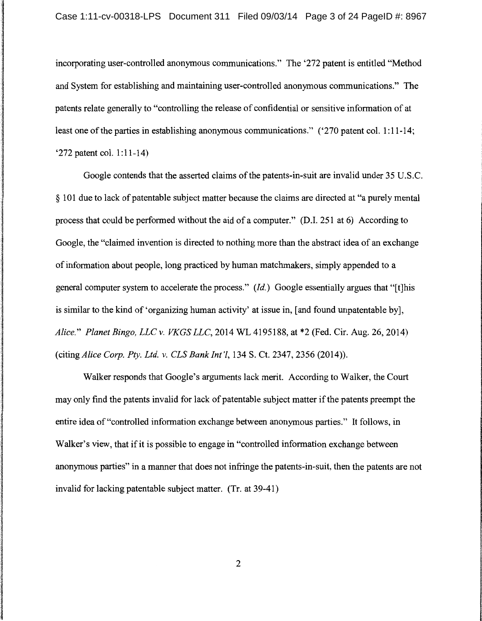incorporating user-controlled anonymous communications." The '272 patent is entitled "Method and System for establishing and maintaining user-controlled anonymous communications." The patents relate generally to "controlling the release of confidential or sensitive information of at least one of the parties in establishing anonymous communications." ('270 patent col. 1:11-14; '272 patent col. 1:11-14)

Google contends that the asserted claims of the patents-in-suit are invalid under 35 U.S.C. § 101 due to lack of patentable subject matter because the claims are directed at "a purely mental process that could be performed without the aid of a computer." (D.I. 251 at 6) According to Google, the "claimed invention is directed to nothing more than the abstract idea of an exchange of information about people, long practiced by human matchmakers, simply appended to a general computer system to accelerate the process." *(Id.)* Google essentially argues that "[t]his is similar to the kind of 'organizing human activity' at issue in, [and found unpatentable by], *Alice." Planet Bingo, LLC v. VKGS LLC,* 2014 WL 4195188, at \*2 (Fed. Cir. Aug. 26, 2014) (citing *Alice Corp. Pty. Ltd. v. CLS Bank Int'l*, 134 S. Ct. 2347, 2356 (2014)).

Walker responds that Google's arguments lack merit. According to Walker, the Court may only find the patents invalid for lack of patentable subject matter if the patents preempt the entire idea of "controlled information exchange between anonymous parties." It follows, in Walker's view, that if it is possible to engage in "controlled information exchange between anonymous parties" in a manner that does not infringe the patents-in-suit, then the patents are not invalid for lacking patentable subject matter. (Tr. at 39-41)

2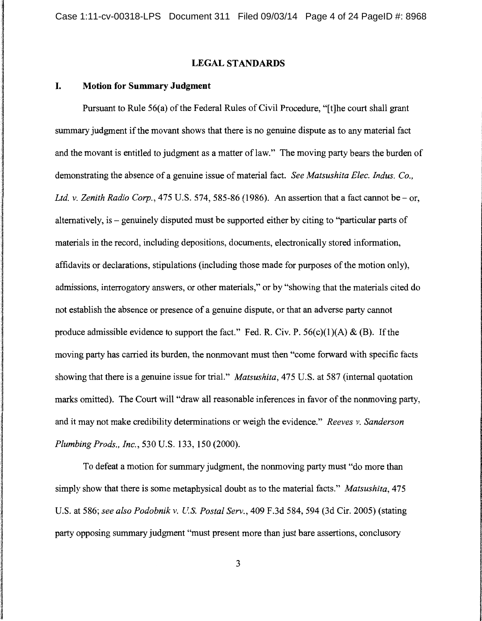## **LEGAL STANDARDS**

### **I. Motion for Summary Judgment**

Pursuant to Rule 56(a) of the Federal Rules of Civil Procedure, "[t]he court shall grant summary judgment if the movant shows that there is no genuine dispute as to any material fact and the movant is entitled to judgment as a matter of law." The moving party bears the burden of demonstrating the absence of a genuine issue of material fact. *See Matsushita Elec. Indus. Co., Ltd. v. Zenith Radio Corp.,* 475 U.S. 574, 585-86 (1986). An assertion that a fact cannot be- or, alternatively, is - genuinely disputed must be supported either by citing to "particular parts of materials in the record, including depositions, documents, electronically stored information, affidavits or declarations, stipulations (including those made for purposes of the motion only), admissions, interrogatory answers, or other materials," or by "showing that the materials cited do not establish the absence or presence of a genuine dispute, or that an adverse party cannot produce admissible evidence to support the fact." Fed. R. Civ. P.  $56(c)(1)(A) & (B)$ . If the moving party has carried its burden, the nonmovant must then "come forward with specific facts showing that there is a genuine issue for trial." *Matsushita,* 475 U.S. at 587 (internal quotation marks omitted). The Court will "draw all reasonable inferences in favor of the nonmoving party, and it may not make credibility determinations or weigh the evidence." *Reeves v. Sanderson Plumbing Prods., Inc.,* 530 U.S. 133, 150 (2000).

To defeat a motion for summary judgment, the nonmoving party must "do more than simply show that there is some metaphysical doubt as to the material facts." *Matsushita,* 475 U.S. at 586; *see also Podobnik v. U.S. Postal Serv.,* 409 F.3d 584, 594 (3d Cir. 2005) (stating party opposing summary judgment "must present more than just bare assertions, conclusory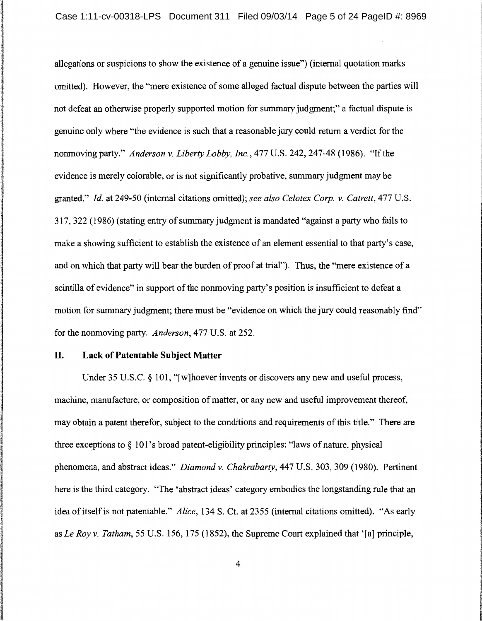allegations or suspicions to show the existence of a genuine issue") (internal quotation marks omitted). However, the "mere existence of some alleged factual dispute between the parties will not defeat an otherwise properly supported motion for summary judgment;" a factual dispute is genuine only where "the evidence is such that a reasonable jury could return a verdict for the nonmoving party." *Anderson v. Liberty Lobby, Inc.,* 477 U.S. 242, 247-48 (1986). "If the evidence is merely colorable, or is not significantly probative, summary judgment may be granted." *Id.* at 249-50 (internal citations omitted); *see also Celotex Corp. v. Catrett,* 477 U.S. 317, 322 (1986) (stating entry of summary judgment is mandated "against a party who fails to make a showing sufficient to establish the existence of an element essential to that party's case, and on which that party will bear the burden of proof at trial"). Thus, the "mere existence of a scintilla of evidence" in support of the nonmoving party's position is insufficient to defeat a motion for summary judgment; there must be "evidence on which the jury could reasonably find" for the nonmoving party. *Anderson,* 477 U.S. at 252.

## **II. Lack of Patentable Subject Matter**

Under 35 U.S.C. § 101, "[w]hoever invents or discovers any new and useful process, machine, manufacture, or composition of matter, or any new and useful improvement thereof, may obtain a patent therefor, subject to the conditions and requirements of this title." There are three exceptions to  $\S$  101's broad patent-eligibility principles: "laws of nature, physical phenomena, and abstract ideas." *Diamond v. Chakrabarty,* 447 U.S. 303, 309 (1980). Pertinent here is the third category. "The 'abstract ideas' category embodies the longstanding rule that an idea of itself is not patentable." *Alice,* 134 S. Ct. at 2355 (internal citations omitted). "As early as *Le Roy v. Tatham,* 55 U.S. 156, 175 (1852), the Supreme Court explained that '[a] principle,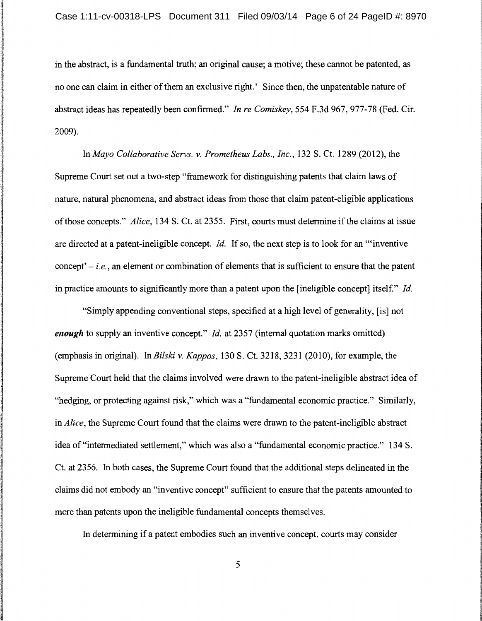in the abstract, is a fundamental truth; an original cause; a motive; these cannot be patented, as no one can claim in either of them an exclusive right.' Since then, the unpatentable nature of abstract ideas has repeatedly been confirmed." *In re Comiskey,* 554 F.3d 967, 977-78 (Fed. Cir. 2009).

In *Mayo Collaborative Servs.* v. *Prometheus Labs., Inc.,* 132 S. Ct. 1289 (2012), the Supreme Court set out a two-step "framework for distinguishing patents that claim laws of nature, natural phenomena, and abstract ideas from those that claim patent-eligible applications of those concepts." *Alice,* 134 S. Ct. at 2355. First, courts must determine if the claims at issue are directed at a patent-ineligible concept. *Id.* If so, the next step is to look for an '"inventive concept' - *i.e.,* an element or combination of elements that is sufficient to ensure that the patent in practice amounts to significantly more than a patent upon the [ineligible concept] itsel£" *Id.* 

"Simply appending conventional steps, specified at a high level of generality, [is] not *enough* to supply an inventive concept." *Id.* at 2357 (internal quotation marks omitted) (emphasis in original). In *Bilski* v. *Kappas,* 130 S. Ct. 3218, 3231 (2010), for example, the Supreme Court held that the claims involved were drawn to the patent-ineligible abstract idea of "hedging, or protecting against risk," which was a "fundamental economic practice." Similarly, in *Alice,* the Supreme Court found that the claims were drawn to the patent-ineligible abstract idea of "intermediated settlement," which was also a "fundamental economic practice." 134 S. Ct. at 2356. In both cases, the Supreme Court found that the additional steps delineated in the claims did not embody an "inventive concept" sufficient to ensure that the patents amounted to more than patents upon the ineligible fundamental concepts themselves.

In determining if a patent embodies such an inventive concept, courts may consider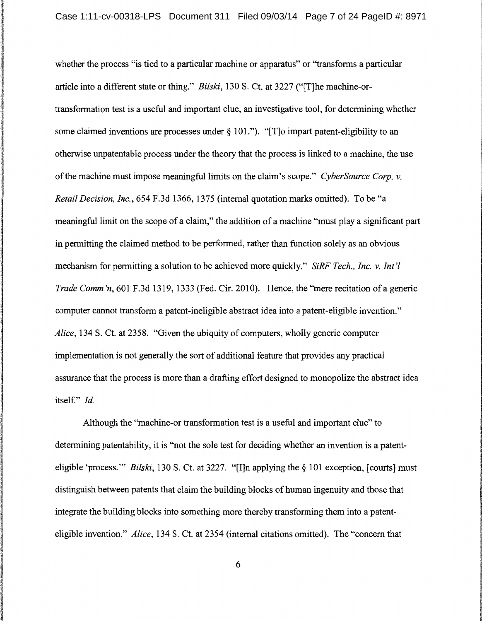whether the process "is tied to a particular machine or apparatus" or "transforms a particular article into a different state or thing." *Bilski,* 130 S. Ct. at 3227 ("[T]he machine-ortransformation test is a useful and important clue, an investigative tool, for determining whether some claimed inventions are processes under § 101."). "[T]o impart patent-eligibility to an otherwise unpatentable process under the theory that the process is linked to a machine, the use of the machine must impose meaningful limits on the claim's scope." *CyberSource Corp. v. Retail Decision, Inc.,* 654 F.3d 1366, 1375 (internal quotation marks omitted). To be "a meaningful limit on the scope of a claim," the addition of a machine "must play a significant part in permitting the claimed method to be performed, rather than function solely as an obvious mechanism for permitting a solution to be achieved more quickly." *SiRF Tech., Inc. v. Int 'l Trade Comm 'n, 601 F.3d 1319, 1333 (Fed. Cir. 2010).* Hence, the "mere recitation of a generic computer cannot transform a patent-ineligible abstract idea into a patent-eligible invention." *Alice,* 134 S. Ct. at 2358. "Given the ubiquity of computers, wholly generic computer implementation is not generally the sort of additional feature that provides any practical assurance that the process is more than a drafting effort designed to monopolize the abstract idea itself." *Id.* 

l

Although the "machine-or transformation test is a useful and important clue" to determining patentability, it is "not the sole test for deciding whether an invention is a patenteligible 'process."' *Bilski,* 130 S. Ct. at 3227. "[I]n applying the§ 101 exception, [courts] must distinguish between patents that claim the building blocks of human ingenuity and those that integrate the building blocks into something more thereby transforming them into a patenteligible invention." *Alice,* 134 S. Ct. at 2354 (internal citations omitted). The "concern that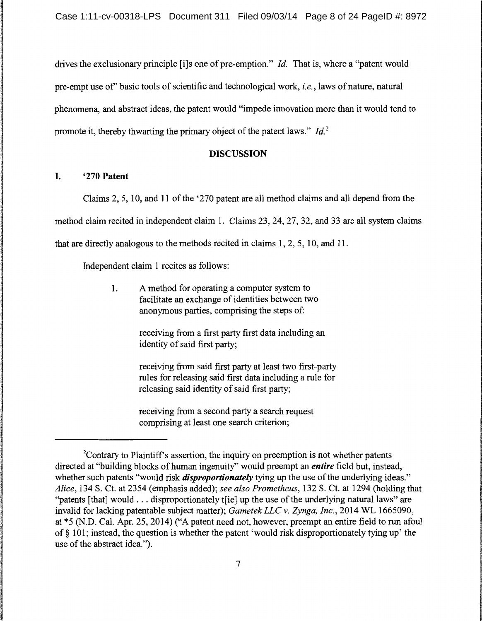drives the exclusionary principle [i]s one of pre-emption." *Id.* That is, where a "patent would pre-empt use of' basic tools of scientific and technological work, *i.e.,* laws of nature, natural phenomena, and abstract ideas, the patent would "impede innovation more than it would tend to promote it, thereby thwarting the primary object of the patent laws." *Id.*<sup>2</sup>

## DISCUSSION

### I. '270 Patent

Claims 2, 5, 10, and 11 of the '270 patent are all method claims and all depend from the method claim recited in independent claim 1. Claims 23, 24, 27, 32, and 33 are all system claims that are directly analogous to the methods recited in claims 1, 2, 5, 10, and 11.

Independent claim 1 recites as follows:

1. A method for operating a computer system to facilitate an exchange of identities between two anonymous parties, comprising the steps of:

> receiving from a first party first data including an identity of said first party;

receiving from said first party at least two first-party rules for releasing said first data including a rule for releasing said identity of said first party;

receiving from a second party a search request comprising at least one search criterion;

<sup>&</sup>lt;sup>2</sup>Contrary to Plaintiff's assertion, the inquiry on preemption is not whether patents directed at "building blocks of human ingenuity" would preempt an *entire* field but, instead, whether such patents "would risk *disproportionately* tying up the use of the underlying ideas." *Alice,* 134 S. Ct. at 2354 (emphasis added); *see also Prometheus,* 132 S. Ct. at 1294 (holding that "patents [that] would ... disproportionately t[ie] up the use of the underlying natural laws" are invalid for lacking patentable subject matter); *Gametek LLC v. Zynga, Inc.,* 2014 WL 1665090, at \*5 (N.D. Cal. Apr. 25, 2014) ("A patent need not, however, preempt an entire field to run afoul of§ 101; instead, the question is whether the patent 'would risk disproportionately tying up' the use of the abstract idea.").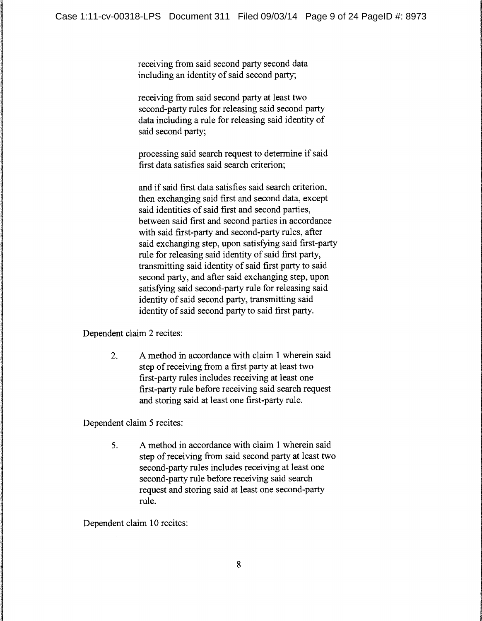receiving from said second party second data including an identity of said second party;

receiving from said second party at least two second-party rules for releasing said second party data including a rule for releasing said identity of said second party;

processing said search request to determine if said first data satisfies said search criterion;

and if said first data satisfies said search criterion, then exchanging said first and second data, except said identities of said first and second parties, between said first and second parties in accordance with said first-party and second-party rules, after said exchanging step, upon satisfying said first-party rule for releasing said identity of said first party, transmitting said identity of said first party to said second party, and after said exchanging step, upon satisfying said second-party rule for releasing said identity of said second party, transmitting said identity of said second party to said first party.

Dependent claim 2 recites:

2. A method in accordance with claim 1 wherein said step of receiving from a first party at least two first-party rules includes receiving at least one first-party rule before receiving said search request and storing said at least one first-party rule.

Dependent claim 5 recites:

5. A method in accordance with claim 1 wherein said step of receiving from said second party at least two second-party rules includes receiving at least one second-party rule before receiving said search request and storing said at least one second-party rule.

Dependent claim 10 recites: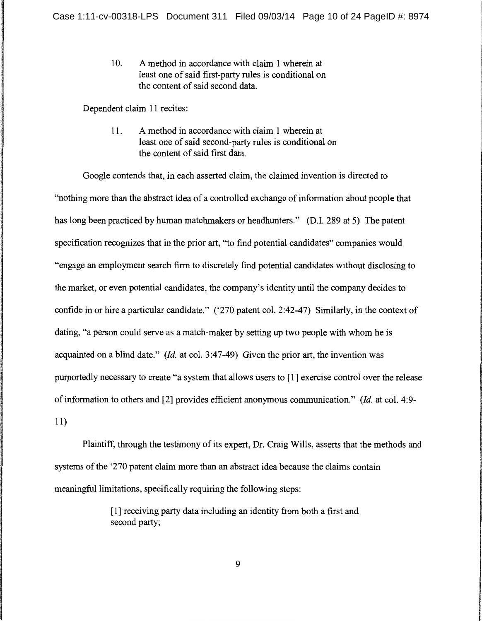10. A method in accordance with claim 1 wherein at least one of said first-party rules is conditional on the content of said second data.

Dependent claim 11 recites:

11. A method in accordance with claim 1 wherein at least one of said second-party rules is conditional on the content of said first data.

Google contends that, in each asserted claim, the claimed invention is directed to "nothing more than the abstract idea of a controlled exchange of information about people that has long been practiced by human matchmakers or headhunters." (D.I. 289 at 5) The patent specification recognizes that in the prior art, ''to find potential candidates" companies would "engage an employment search firm to discretely find potential candidates without disclosing to the market, or even potential candidates, the company's identity until the company decides to confide in or hire a particular candidate." ('270 patent col. 2:42-47) Similarly, in the context of dating, "a person could serve as a match-maker by setting up two people with whom he is acquainted on a blind date." *(Id.* at col. 3:47-49) Given the prior art, the invention was purportedly necessary to create "a system that allows users to [1] exercise control over the release of information to others and [2] provides efficient anonymous communication." *(Id.* at col. 4:9- 11)

Plaintiff, through the testimony of its expert, Dr. Craig Wills, asserts that the methods and systems of the '270 patent claim more than an abstract idea because the claims contain meaningful limitations, specifically requiring the following steps:

> [ 1] receiving party data including an identity from both a first and second party;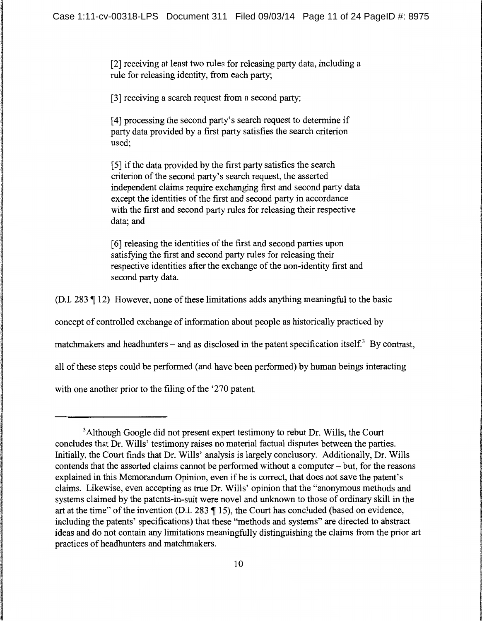[2] receiving at least two rules for releasing party data, including a rule for releasing identity, from each party;

[3] receiving a search request from a second party;

[ 4] processing the second party's search request to determine if party data provided by a first party satisfies the search criterion used;

[ 5] if the data provided by the first party satisfies the search criterion of the second party's search request, the asserted independent claims require exchanging first and second party data except the identities of the first and second party in accordance with the first and second party rules for releasing their respective data; and

[ 6] releasing the identities of the first and second parties upon satisfying the first and second party rules for releasing their respective identities after the exchange of the non-identity first and second party data.

(D.I. 283  $\parallel$  12) However, none of these limitations adds anything meaningful to the basic

concept of controlled exchange of information about people as historically practiced by

matchmakers and headhunters – and as disclosed in the patent specification itself.<sup>3</sup> By contrast,

all of these steps could be performed (and have been performed) by human beings interacting

with one another prior to the filing of the '270 patent.

<sup>&</sup>lt;sup>3</sup> Although Google did not present expert testimony to rebut Dr. Wills, the Court concludes that Dr. Wills' testimony raises no material factual disputes between the parties. Initially, the Court finds that Dr. Wills' analysis is largely conclusory. Additionally, Dr. Wills contends that the asserted claims cannot be performed without a computer - but, for the reasons explained in this Memorandum Opinion, even if he is correct, that does not save the patent's claims. Likewise, even accepting as true Dr. Wills' opinion that the "anonymous methods and systems claimed by the patents-in-suit were novel and unknown to those of ordinary skill in the art at the time" of the invention (D.I. 283  $\parallel$  15), the Court has concluded (based on evidence, including the patents' specifications) that these "methods and systems" are directed to abstract ideas and do not contain any limitations meaningfully distinguishing the claims from the prior art practices of headhunters and matchmakers.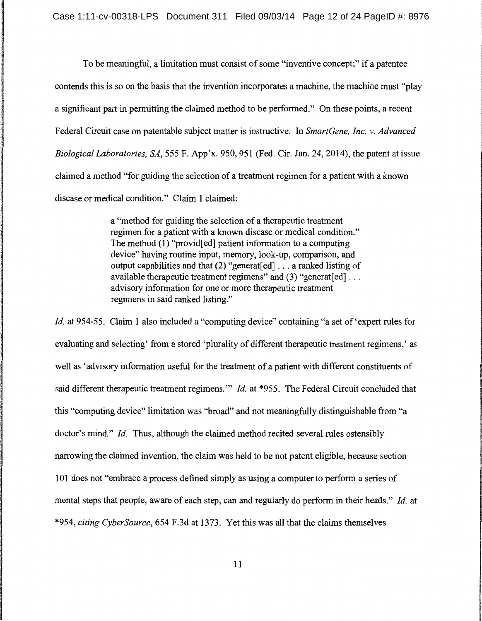To be meaningful, a limitation must consist of some "inventive concept;" if a patentee contends this is so on the basis that the invention incorporates a machine, the machine must "play a significant part in permitting the claimed method to be performed." On these points, a recent Federal Circuit case on patentable subject matter is instructive. In *SmartGene, Inc. v. Advanced Biological Laboratories, SA,* 555 F. App'x. 950, 951 (Fed. Cir. Jan. 24, 2014), the patent at issue claimed a method "for guiding the selection of a treatment regimen for a patient with a known disease or medical condition." Claim 1 claimed:

> a "method for guiding the selection of a therapeutic treatment regimen for a patient with a known disease or medical condition." The method (1) "provid[ed] patient information to a computing device" having routine input, memory, look-up, comparison, and output capabilities and that (2) "generat[ ed] ... a ranked listing of available therapeutic treatment regimens" and  $(3)$  "generat[ed] ... advisory information for one or more therapeutic treatment regimens in said ranked listing."

*Id.* at 954-55. Claim 1 also included a "computing device" containing "a set of 'expert rules for evaluating and selecting' from a stored 'plurality of different therapeutic treatment regimens,' as well as 'advisory information useful for the treatment of a patient with different constituents of said different therapeutic treatment regimens."" *Id.* at \*955. The Federal Circuit concluded that this "computing device" limitation was "broad" and not meaningfully distinguishable from "a doctor's mind." *Id.* Thus, although the claimed method recited several rules ostensibly narrowing the claimed invention, the claim was held to be not patent eligible, because section 101 does not "embrace a process defined simply as using a computer to perform a series of mental steps that people, aware of each step, can and regularly do perform in their heads." *Id.* at \*954, *citing CyberSource,* 654 F.3d at 1373. Yet this was all that the claims themselves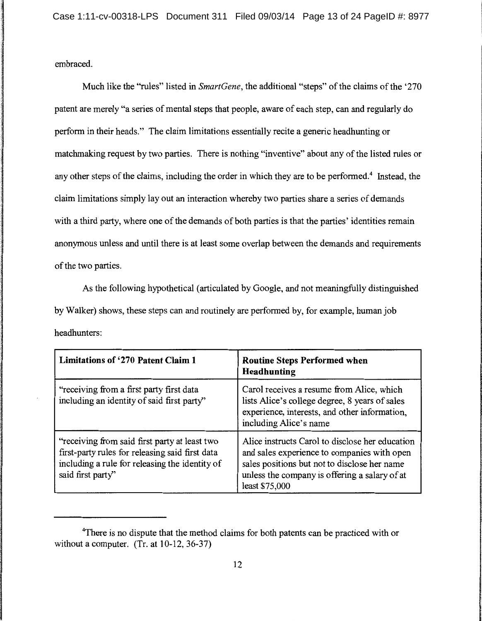embraced.

Much like the "rules" listed in *SmartGene,* the additional "steps" of the claims of the '270 patent are merely "a series of mental steps that people, aware of each step, can and regularly do perform in their heads." The claim limitations essentially recite a generic headhunting or matchmaking request by two parties. There is nothing "inventive" about any of the listed rules or any other steps of the claims, including the order in which they are to be performed.<sup>4</sup> Instead, the claim limitations simply lay out an interaction whereby two parties share a series of demands with a third party, where one of the demands of both parties is that the parties' identities remain anonymous unless and until there is at least some overlap between the demands and requirements of the two parties.

As the following hypothetical (articulated by Google, and not meaningfully distinguished by Walker) shows, these steps can and routinely are performed by, for example, human job headhunters:

| Limitations of '270 Patent Claim 1                                                                                                                                      | <b>Routine Steps Performed when</b><br><b>Headhunting</b>                                                                                                                                                         |
|-------------------------------------------------------------------------------------------------------------------------------------------------------------------------|-------------------------------------------------------------------------------------------------------------------------------------------------------------------------------------------------------------------|
| "receiving from a first party first data<br>including an identity of said first party"                                                                                  | Carol receives a resume from Alice, which<br>lists Alice's college degree, 8 years of sales<br>experience, interests, and other information,<br>including Alice's name                                            |
| "receiving from said first party at least two<br>first-party rules for releasing said first data<br>including a rule for releasing the identity of<br>said first party' | Alice instructs Carol to disclose her education<br>and sales experience to companies with open<br>sales positions but not to disclose her name<br>unless the company is offering a salary of at<br>least \$75,000 |

<sup>&</sup>lt;sup>4</sup>There is no dispute that the method claims for both patents can be practiced with or without a computer. (Tr. at 10-12, 36-37)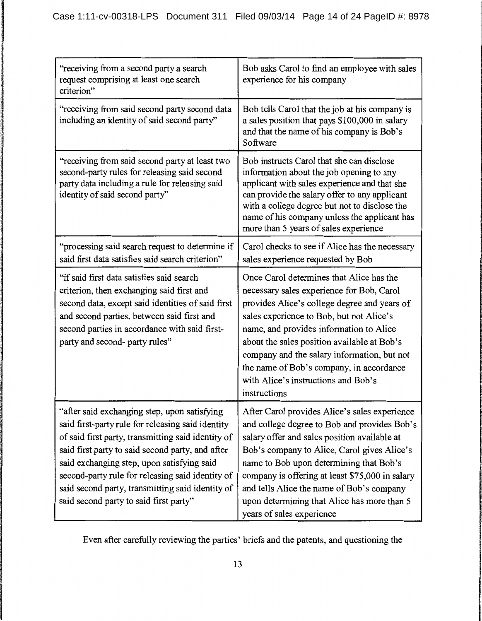| "receiving from a second party a search"<br>request comprising at least one search<br>criterion"                                                                                                                                                                                                                                                                                                            | Bob asks Carol to find an employee with sales<br>experience for his company                                                                                                                                                                                                                                                                                                                                                   |
|-------------------------------------------------------------------------------------------------------------------------------------------------------------------------------------------------------------------------------------------------------------------------------------------------------------------------------------------------------------------------------------------------------------|-------------------------------------------------------------------------------------------------------------------------------------------------------------------------------------------------------------------------------------------------------------------------------------------------------------------------------------------------------------------------------------------------------------------------------|
| "receiving from said second party second data<br>including an identity of said second party"                                                                                                                                                                                                                                                                                                                | Bob tells Carol that the job at his company is<br>a sales position that pays \$100,000 in salary<br>and that the name of his company is Bob's<br>Software                                                                                                                                                                                                                                                                     |
| "receiving from said second party at least two<br>second-party rules for releasing said second<br>party data including a rule for releasing said<br>identity of said second party"                                                                                                                                                                                                                          | Bob instructs Carol that she can disclose<br>information about the job opening to any<br>applicant with sales experience and that she<br>can provide the salary offer to any applicant<br>with a college degree but not to disclose the<br>name of his company unless the applicant has<br>more than 5 years of sales experience                                                                                              |
| "processing said search request to determine if<br>said first data satisfies said search criterion"                                                                                                                                                                                                                                                                                                         | Carol checks to see if Alice has the necessary<br>sales experience requested by Bob                                                                                                                                                                                                                                                                                                                                           |
| "if said first data satisfies said search<br>criterion, then exchanging said first and<br>second data, except said identities of said first<br>and second parties, between said first and<br>second parties in accordance with said first-<br>party and second- party rules"                                                                                                                                | Once Carol determines that Alice has the<br>necessary sales experience for Bob, Carol<br>provides Alice's college degree and years of<br>sales experience to Bob, but not Alice's<br>name, and provides information to Alice<br>about the sales position available at Bob's<br>company and the salary information, but not<br>the name of Bob's company, in accordance<br>with Alice's instructions and Bob's<br>instructions |
| "after said exchanging step, upon satisfying<br>said first-party rule for releasing said identity<br>of said first party, transmitting said identity of<br>said first party to said second party, and after<br>said exchanging step, upon satisfying said<br>second-party rule for releasing said identity of<br>said second party, transmitting said identity of<br>said second party to said first party" | After Carol provides Alice's sales experience<br>and college degree to Bob and provides Bob's<br>salary offer and sales position available at<br>Bob's company to Alice, Carol gives Alice's<br>name to Bob upon determining that Bob's<br>company is offering at least \$75,000 in salary<br>and tells Alice the name of Bob's company<br>upon determining that Alice has more than 5<br>years of sales experience           |

Even after carefully reviewing the parties' briefs and the patents, and questioning the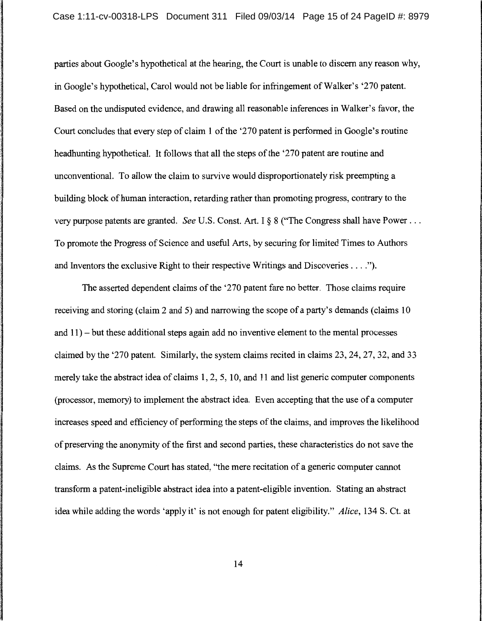parties about Google's hypothetical at the hearing, the Court is unable to discern any reason why, in Google's hypothetical, Carol would not be liable for infringement of Walker's '270 patent. Based on the undisputed evidence, and drawing all reasonable inferences in Walker's favor, the Court concludes that every step of claim 1 of the '270 patent is performed in Google's routine headhunting hypothetical. It follows that all the steps of the '270 patent are routine and unconventional. To allow the claim to survive would disproportionately risk preempting a building block of human interaction, retarding rather than promoting progress, contrary to the very purpose patents are granted. *See* U.S. Const. Art. I§ 8 ("The Congress shall have Power ... To promote the Progress of Science and useful Arts, by securing for limited Times to Authors and Inventors the exclusive Right to their respective Writings and Discoveries .... ").

The asserted dependent claims of the '270 patent fare no better. Those claims require receiving and storing (claim 2 and 5) and narrowing the scope of a party's demands (claims 10 and 11) - but these additional steps again add no inventive element to the mental processes claimed by the '270 patent. Similarly, the system claims recited in claims 23, 24, 27, 32, and 33 merely take the abstract idea of claims 1, 2, 5, 10, and 11 and list generic computer components (processor, memory) to implement the abstract idea. Even accepting that the use of a computer increases speed and efficiency of performing the steps of the claims, and improves the likelihood of preserving the anonymity of the first and second parties, these characteristics do not save the claims. As the Supreme Court has stated, "the mere recitation of a generic computer cannot transform a patent-ineligible abstract idea into a patent-eligible invention. Stating an abstract idea while adding the words 'apply it' is not enough for patent eligibility." *Alice,* 134 S. Ct. at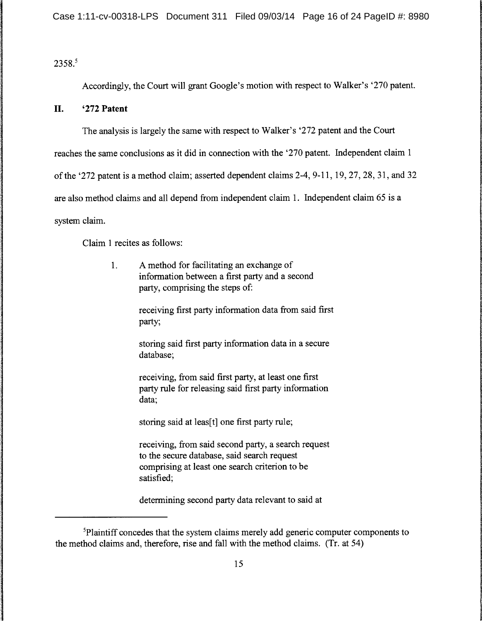2358.5

Accordingly, the Court will grant Google's motion with respect to Walker's '270 patent.

## **II. '272 Patent**

The analysis is largely the same with respect to Walker's '272 patent and the Court

reaches the same conclusions as it did in connection with the '270 patent. Independent claim 1

of the '272 patent is a method claim; asserted dependent claims 2-4, 9-11, 19, 27, 28, 31, and 32

are also method claims and all depend from independent claim 1. Independent claim 65 is a

system claim.

Claim 1 recites as follows:

1. A method for facilitating an exchange of information between a first party and a second party, comprising the steps of:

> receiving first party information data from said first party;

storing said first party information data in a secure database;

receiving, from said first party, at least one first party rule for releasing said first party information data;

storing said at leas[t] one first party rule;

receiving, from said second party, a search request to the secure database, said search request comprising at least one search criterion to be satisfied;

determining second party data relevant to said at

<sup>&</sup>lt;sup>5</sup>Plaintiff concedes that the system claims merely add generic computer components to the method claims and, therefore, rise and fall with the method claims. (Tr. at 54)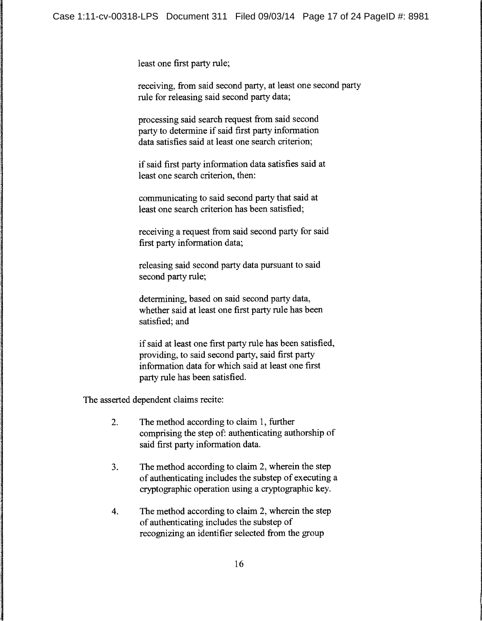least one first party rule;

receiving, from said second party, at least one second party rule for releasing said second party data;

processing said search request from said second party to determine if said first party information data satisfies said at least one search criterion;

if said first party information data satisfies said at least one search criterion, then:

communicating to said second party that said at least one search criterion has been satisfied;

receiving a request from said second party for said first party information data;

releasing said second party data pursuant to said second party rule;

determining, based on said second party data, whether said at least one first party rule has been satisfied; and

if said at least one first party rule has been satisfied, providing, to said second party, said first party information data for which said at least one first party rule has been satisfied.

The asserted dependent claims recite:

- 2. The method according to claim 1, further comprising the step of: authenticating authorship of said first party information data.
- 3. The method according to claim 2, wherein the step of authenticating includes the substep of executing a cryptographic operation using a cryptographic key.
- 4. The method according to claim 2, wherein the step of authenticating includes the substep of recognizing an identifier selected from the group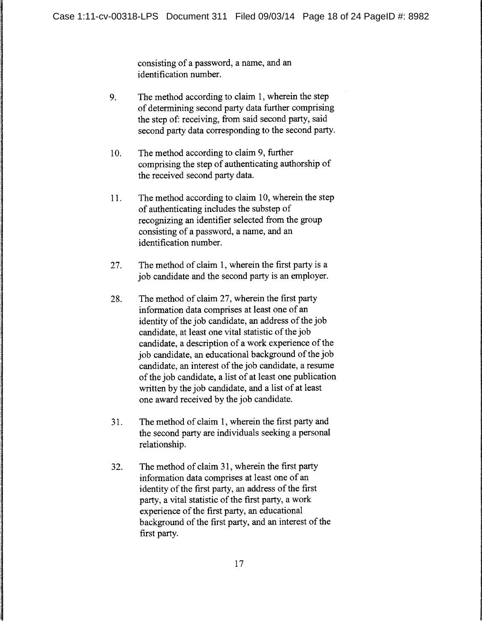consisting of a password, a name, and an identification number.

- 9. The method according to claim 1, wherein the step of determining second party data further comprising the step of: receiving, from said second party, said second party data corresponding to the second party.
- 10. The method according to claim 9, further comprising the step of authenticating authorship of the received second party data.
- 11. The method according to claim 10, wherein the step of authenticating includes the substep of recognizing an identifier selected from the group consisting of a password, a name, and an identification number.
- 27. The method of claim 1, wherein the first party is a job candidate and the second party is an employer.
- 28. The method of claim 27, wherein the first party information data comprises at least one of an identity of the job candidate, an address of the job candidate, at least one vital statistic of the job candidate, a description of a work experience of the job candidate, an educational background of the job candidate, an interest of the job candidate, a resume of the job candidate, a list of at least one publication written by the job candidate, and a list of at least one award received by the job candidate.
- 31. The method of claim 1, wherein the first party and the second party are individuals seeking a personal relationship.
- 32. The method of claim 31, wherein the first party information data comprises at least one of an identity of the first party, an address of the first party, a vital statistic of the first party, a work experience of the first party, an educational background of the first party, and an interest of the first party.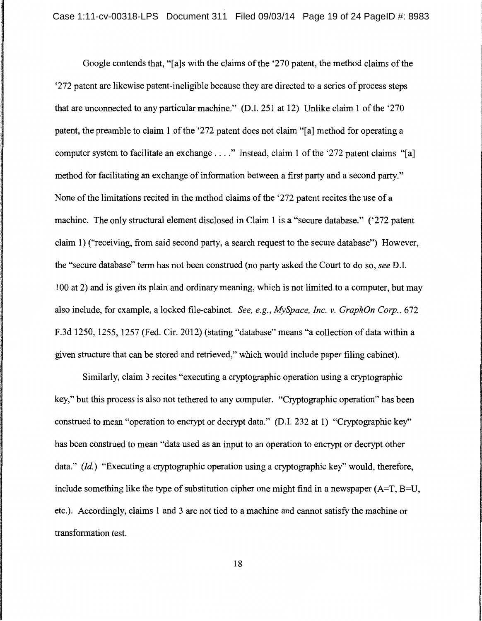Google contends that, "[a]s with the claims of the '270 patent, the method claims of the '272 patent are likewise patent-ineligible because they are directed to a series of process steps that are unconnected to any particular machine." (D.I. 251 at 12) Unlike claim 1 of the '270 patent, the preamble to claim 1 of the '272 patent does not claim "[a] method for operating a computer system to facilitate an exchange . . . ." Instead, claim 1 of the '272 patent claims "[a] method for facilitating an exchange of information between a first party and a second party." None of the limitations recited in the method claims of the '272 patent recites the use of a machine. The only structural element disclosed in Claim 1 is a "secure database." ('272 patent claim 1) ("receiving, from said second party, a search request to the secure database") However, the "secure database" term has not been construed (no party asked the Court to do so, *see* D.I. 100 at 2) and is given its plain and ordinary meaning, which is not limited to a computer, but may also include, for example, a locked file-cabinet. *See, e.g., MySpace, Inc. v. GraphOn Corp.,* 672 F.3d 1250, 1255, 1257 (Fed. Cir. 2012) (stating "database" means "a collection of data within a given structure that can be stored and retrieved," which would include paper filing cabinet).

Similarly, claim 3 recites "executing a cryptographic operation using a cryptographic key," but this process is also not tethered to any computer. "Cryptographic operation" has been construed to mean "operation to encrypt or decrypt data." (D.I. 232 at 1) "Cryptographic key'' has been construed to mean "data used as an input to an operation to encrypt or decrypt other data." *(Id.)* "Executing a cryptographic operation using a cryptographic key" would, therefore, include something like the type of substitution cipher one might find in a newspaper  $(A=T, B=U,$ etc.). Accordingly, claims 1 and 3 are not tied to a machine and cannot satisfy the machine or transformation test.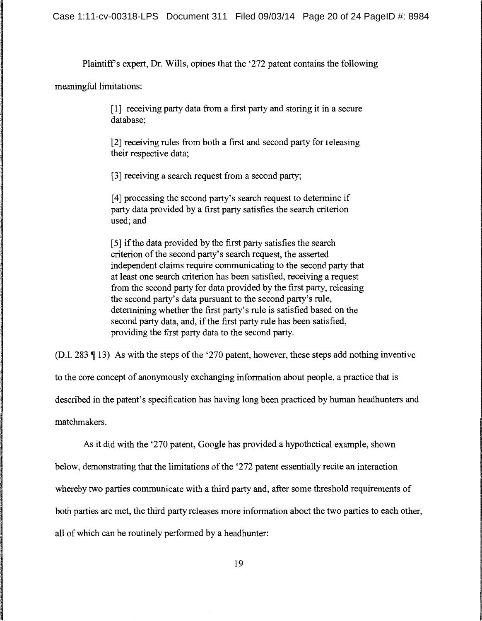Case 1:11-cv-00318-LPS Document 311 Filed 09/03/14 Page 20 of 24 PageID #: 8984

Plaintiffs expert, Dr. Wills, opines that the '272 patent contains the following

meaningful limitations:

[1] receiving party data from a first party and storing it in a secure database;

[2] receiving rules from both a first and second party for releasing their respective data;

[3] receiving a search request from a second party;

[4] processing the second party's search request to determine if party data provided by a first party satisfies the search criterion used; and

[ 5] if the data provided by the first party satisfies the search criterion of the second party's search request, the asserted independent claims require communicating to the second party that at least one search criterion has been satisfied, receiving a request from the second party for data provided by the first party, releasing the second party's data pursuant to the second party's rule, determining whether the first party's rule is satisfied based on the second party data, and, if the first party rule has been satisfied, providing the first party data to the second party.

(D.I. 283  $\parallel$  13) As with the steps of the '270 patent, however, these steps add nothing inventive

to the core concept of anonymously exchanging information about people, a practice that is

described in the patent's specification has having long been practiced by human headhunters and

matchmakers.

As it did with the '270 patent, Google has provided a hypothetical example, shown below, demonstrating that the limitations of the '272 patent essentially recite an interaction whereby two parties communicate with a third party and, after some threshold requirements of both parties are met, the third party releases more information about the two parties to each other, all of which can be routinely performed by a headhunter: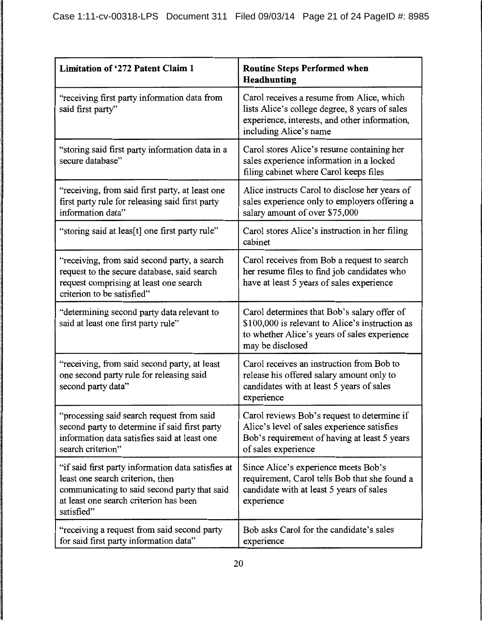| <b>Limitation of '272 Patent Claim 1</b>                                                                                                                                                       | <b>Routine Steps Performed when</b><br>Headhunting                                                                                                                     |
|------------------------------------------------------------------------------------------------------------------------------------------------------------------------------------------------|------------------------------------------------------------------------------------------------------------------------------------------------------------------------|
| "receiving first party information data from<br>said first party"                                                                                                                              | Carol receives a resume from Alice, which<br>lists Alice's college degree, 8 years of sales<br>experience, interests, and other information,<br>including Alice's name |
| "storing said first party information data in a<br>secure database"                                                                                                                            | Carol stores Alice's resume containing her<br>sales experience information in a locked<br>filing cabinet where Carol keeps files                                       |
| "receiving, from said first party, at least one<br>first party rule for releasing said first party<br>information data"                                                                        | Alice instructs Carol to disclose her years of<br>sales experience only to employers offering a<br>salary amount of over \$75,000                                      |
| "storing said at leas[t] one first party rule"                                                                                                                                                 | Carol stores Alice's instruction in her filing<br>cabinet                                                                                                              |
| "receiving, from said second party, a search<br>request to the secure database, said search<br>request comprising at least one search<br>criterion to be satisfied"                            | Carol receives from Bob a request to search<br>her resume files to find job candidates who<br>have at least 5 years of sales experience                                |
| "determining second party data relevant to<br>said at least one first party rule"                                                                                                              | Carol determines that Bob's salary offer of<br>\$100,000 is relevant to Alice's instruction as<br>to whether Alice's years of sales experience<br>may be disclosed     |
| "receiving, from said second party, at least<br>one second party rule for releasing said<br>second party data"                                                                                 | Carol receives an instruction from Bob to<br>release his offered salary amount only to<br>candidates with at least 5 years of sales<br>experience                      |
| "processing said search request from said<br>second party to determine if said first party<br>information data satisfies said at least one<br>search criterion"                                | Carol reviews Bob's request to determine if<br>Alice's level of sales experience satisfies<br>Bob's requirement of having at least 5 years<br>of sales experience      |
| "if said first party information data satisfies at<br>least one search criterion, then<br>communicating to said second party that said<br>at least one search criterion has been<br>satisfied" | Since Alice's experience meets Bob's<br>requirement, Carol tells Bob that she found a<br>candidate with at least 5 years of sales<br>experience                        |
| "receiving a request from said second party<br>for said first party information data"                                                                                                          | Bob asks Carol for the candidate's sales<br>experience                                                                                                                 |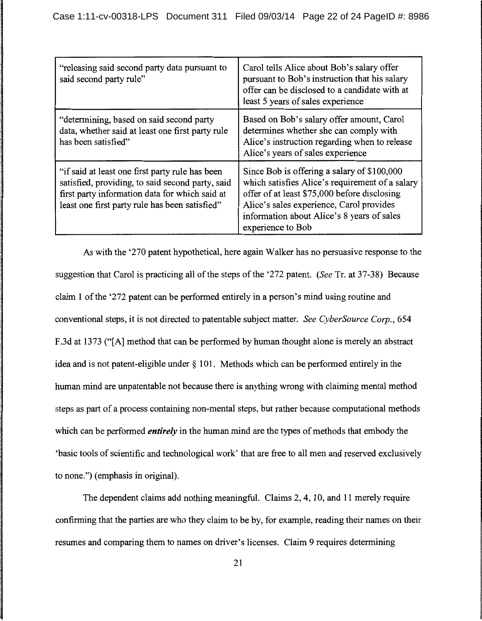| "releasing said second party data pursuant to<br>said second party rule"                                                                                                                                | Carol tells Alice about Bob's salary offer<br>pursuant to Bob's instruction that his salary<br>offer can be disclosed to a candidate with at<br>least 5 years of sales experience                                                                             |
|---------------------------------------------------------------------------------------------------------------------------------------------------------------------------------------------------------|---------------------------------------------------------------------------------------------------------------------------------------------------------------------------------------------------------------------------------------------------------------|
| "determining, based on said second party<br>data, whether said at least one first party rule<br>has been satisfied"                                                                                     | Based on Bob's salary offer amount, Carol<br>determines whether she can comply with<br>Alice's instruction regarding when to release<br>Alice's years of sales experience                                                                                     |
| "if said at least one first party rule has been<br>satisfied, providing, to said second party, said<br>first party information data for which said at<br>least one first party rule has been satisfied" | Since Bob is offering a salary of \$100,000<br>which satisfies Alice's requirement of a salary<br>offer of at least \$75,000 before disclosing<br>Alice's sales experience, Carol provides<br>information about Alice's 8 years of sales<br>experience to Bob |

As with the '270 patent hypothetical, here again Walker has no persuasive response to the suggestion that Carol is practicing all of the steps of the '272 patent. *(See* Tr. at 37-38) Because claim 1 of the '272 patent can be performed entirely in a person's mind using routine and conventional steps, it is not directed to patentable subject matter. *See CyberSource Corp.,* 654 F.3d at 1373 ("[A] method that can be performed by human thought alone is merely an abstract idea and is not patent-eligible under § 101. Methods which can be performed entirely in the human mind are unpatentable not because there is anything wrong with claiming mental method steps as part of a process containing non-mental steps, but rather because computational methods which can be performed *entirely* in the human mind are the types of methods that embody the 'basic tools of scientific and technological work' that are free to all men and reserved exclusively to none.") (emphasis in original).

The dependent claims add nothing meaningful. Claims 2, 4, 10, and 11 merely require confirming that the parties are who they claim to be by, for example, reading their names on their resumes and comparing them to names on driver's licenses. Claim 9 requires determining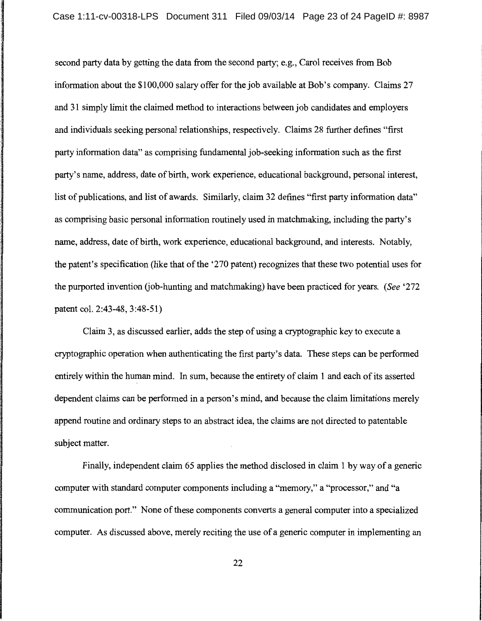second party data by getting the data from the second party; e.g., Carol receives from Bob information about the \$100,000 salary offer for the job available at Bob's company. Claims 27 and 31 simply limit the claimed method to interactions between job candidates and employers and individuals seeking personal relationships, respectively. Claims 28 further defines "first party information data" as comprising fundamental job-seeking information such as the first party's name, address, date of birth, work experience, educational background, personal interest, list of publications, and list of awards. Similarly, claim 32 defines "first party information data" as comprising basic personal information routinely used in matchmaking, including the party's name, address, date of birth, work experience, educational background, and interests. Notably, the patent's specification (like that of the '270 patent) recognizes that these two potential uses for the purported invention (job-hunting and matchmaking) have been practiced for years. *(See* '272 patent col. 2:43-48, 3:48-51)

Claim 3, as discussed earlier, adds the step of using a cryptographic key to execute a cryptographic operation when authenticating the first party's data. These steps can be performed entirely within the human mind. In sum, because the entirety of claim 1 and each of its asserted dependent claims can be performed in a person's mind, and because the claim limitations merely append routine and ordinary steps to an abstract idea, the claims are not directed to patentable subject matter.

Finally, independent claim 65 applies the method disclosed in claim 1 by way of a generic computer with standard computer components including a "memory," a "processor," and "a communication port." None of these components converts a general computer into a specialized computer. As discussed above, merely reciting the use of a generic computer in implementing an